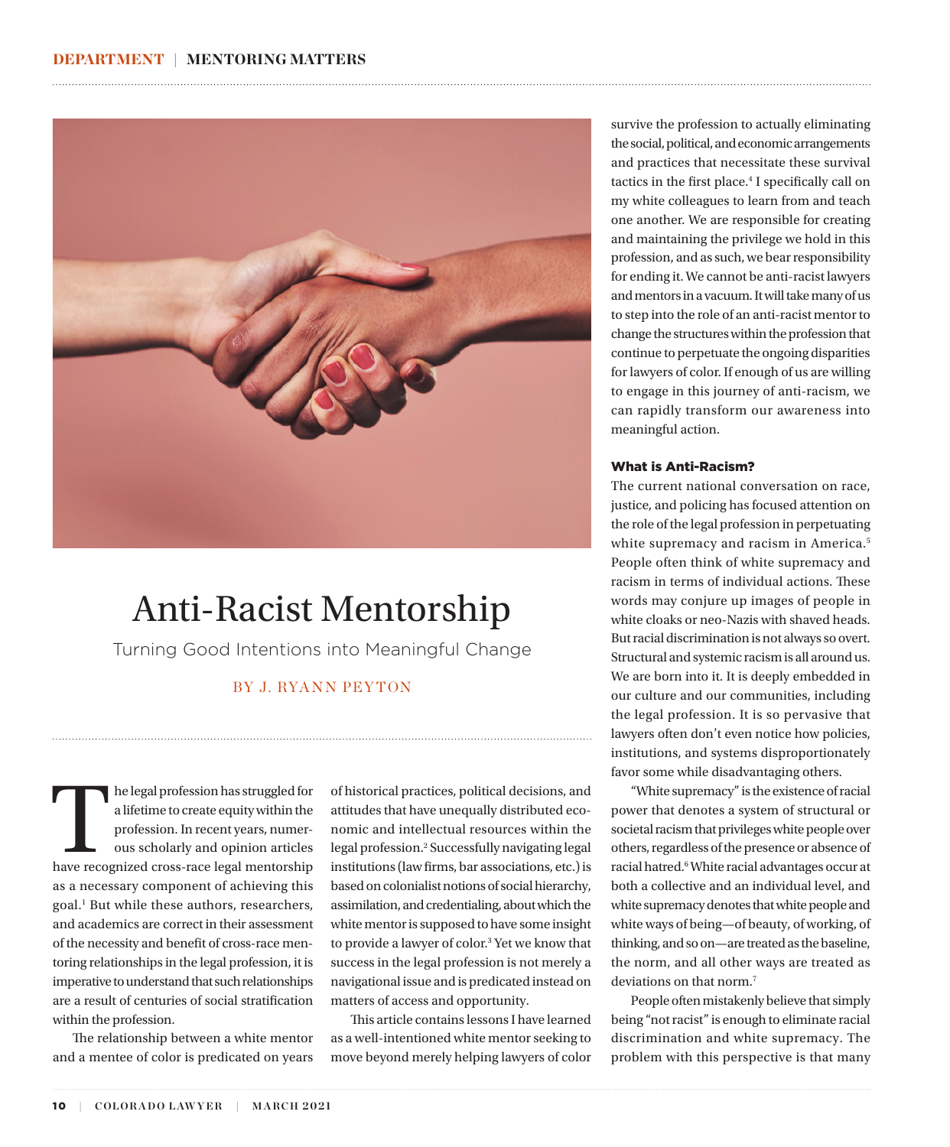

# Anti-Racist Mentorship

Turning Good Intentions into Meaningful Change

# BY J. RYANN PEYTON

he legal profession has struggled for<br>
a lifetime to create equity within the<br>
profession. In recent years, numer-<br>
ous scholarly and opinion articles<br>
have recognized cross-race legal mentorship a lifetime to create equity within the profession. In recent years, numerous scholarly and opinion articles as a necessary component of achieving this goal.1 But while these authors, researchers, and academics are correct in their assessment of the necessity and benefit of cross-race mentoring relationships in the legal profession, it is imperative to understand that such relationships are a result of centuries of social stratification within the profession.

The relationship between a white mentor and a mentee of color is predicated on years

of historical practices, political decisions, and attitudes that have unequally distributed economic and intellectual resources within the legal profession.2 Successfully navigating legal institutions (law firms, bar associations, etc.) is based on colonialist notions of social hierarchy, assimilation, and credentialing, about which the white mentor is supposed to have some insight to provide a lawyer of color.<sup>3</sup> Yet we know that success in the legal profession is not merely a navigational issue and is predicated instead on matters of access and opportunity.

This article contains lessons I have learned as a well-intentioned white mentor seeking to move beyond merely helping lawyers of color

survive the profession to actually eliminating the social, political, and economic arrangements and practices that necessitate these survival tactics in the first place.<sup>4</sup> I specifically call on my white colleagues to learn from and teach one another. We are responsible for creating and maintaining the privilege we hold in this profession, and as such, we bear responsibility for ending it. We cannot be anti-racist lawyers and mentors in a vacuum. It will take many of us to step into the role of an anti-racist mentor to change the structures within the profession that continue to perpetuate the ongoing disparities for lawyers of color. If enough of us are willing to engage in this journey of anti-racism, we can rapidly transform our awareness into meaningful action.

### What is Anti-Racism?

The current national conversation on race, justice, and policing has focused attention on the role of the legal profession in perpetuating white supremacy and racism in America.<sup>5</sup> People often think of white supremacy and racism in terms of individual actions. These words may conjure up images of people in white cloaks or neo-Nazis with shaved heads. But racial discrimination is not always so overt. Structural and systemic racism is all around us. We are born into it. It is deeply embedded in our culture and our communities, including the legal profession. It is so pervasive that lawyers often don't even notice how policies, institutions, and systems disproportionately favor some while disadvantaging others.

"White supremacy" is the existence of racial power that denotes a system of structural or societal racism that privileges white people over others, regardless of the presence or absence of racial hatred.<sup>6</sup> White racial advantages occur at both a collective and an individual level, and white supremacy denotes that white people and white ways of being—of beauty, of working, of thinking, and so on—are treated as the baseline, the norm, and all other ways are treated as deviations on that norm.<sup>7</sup>

People often mistakenly believe that simply being "not racist" is enough to eliminate racial discrimination and white supremacy. The problem with this perspective is that many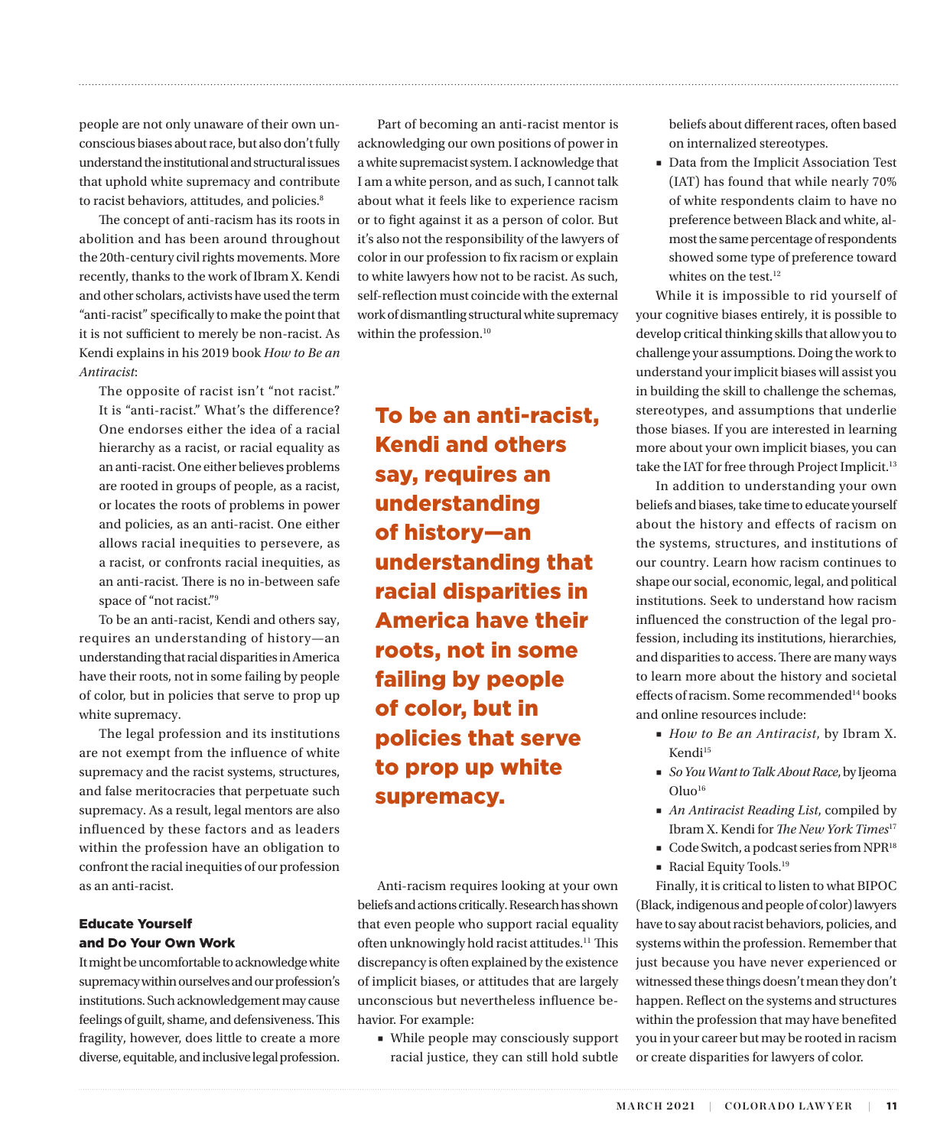people are not only unaware of their own unconscious biases about race, but also don't fully understand the institutional and structural issues that uphold white supremacy and contribute to racist behaviors, attitudes, and policies.<sup>8</sup>

The concept of anti-racism has its roots in abolition and has been around throughout the 20th-century civil rights movements. More recently, thanks to the work of Ibram X. Kendi and other scholars, activists have used the term "anti-racist" specifically to make the point that it is not sufficient to merely be non-racist. As Kendi explains in his 2019 book *How to Be an Antiracist*:

The opposite of racist isn't "not racist." It is "anti-racist." What's the difference? One endorses either the idea of a racial hierarchy as a racist, or racial equality as an anti-racist. One either believes problems are rooted in groups of people, as a racist, or locates the roots of problems in power and policies, as an anti-racist. One either allows racial inequities to persevere, as a racist, or confronts racial inequities, as an anti-racist. There is no in-between safe space of "not racist."9

To be an anti-racist, Kendi and others say, requires an understanding of history—an understanding that racial disparities in America have their roots, not in some failing by people of color, but in policies that serve to prop up white supremacy.

The legal profession and its institutions are not exempt from the influence of white supremacy and the racist systems, structures, and false meritocracies that perpetuate such supremacy. As a result, legal mentors are also influenced by these factors and as leaders within the profession have an obligation to confront the racial inequities of our profession as an anti-racist.

## Educate Yourself and Do Your Own Work

It might be uncomfortable to acknowledge white supremacy within ourselves and our profession's institutions. Such acknowledgement may cause feelings of guilt, shame, and defensiveness. This fragility, however, does little to create a more diverse, equitable, and inclusive legal profession.

Part of becoming an anti-racist mentor is acknowledging our own positions of power in a white supremacist system. I acknowledge that I am a white person, and as such, I cannot talk about what it feels like to experience racism or to fight against it as a person of color. But it's also not the responsibility of the lawyers of color in our profession to fix racism or explain to white lawyers how not to be racist. As such, self-reflection must coincide with the external work of dismantling structural white supremacy within the profession.<sup>10</sup>

To be an anti-racist, Kendi and others say, requires an understanding of history—an understanding that racial disparities in America have their roots, not in some failing by people of color, but in policies that serve to prop up white supremacy.

Anti-racism requires looking at your own beliefs and actions critically. Research has shown that even people who support racial equality often unknowingly hold racist attitudes.<sup>11</sup> This discrepancy is often explained by the existence of implicit biases, or attitudes that are largely unconscious but nevertheless influence behavior. For example:

■ While people may consciously support racial justice, they can still hold subtle beliefs about different races, often based on internalized stereotypes.

■ Data from the Implicit Association Test (IAT) has found that while nearly 70% of white respondents claim to have no preference between Black and white, almost the same percentage of respondents showed some type of preference toward whites on the test.<sup>12</sup>

While it is impossible to rid yourself of your cognitive biases entirely, it is possible to develop critical thinking skills that allow you to challenge your assumptions. Doing the work to understand your implicit biases will assist you in building the skill to challenge the schemas, stereotypes, and assumptions that underlie those biases. If you are interested in learning more about your own implicit biases, you can take the IAT for free through Project Implicit.<sup>13</sup>

In addition to understanding your own beliefs and biases, take time to educate yourself about the history and effects of racism on the systems, structures, and institutions of our country. Learn how racism continues to shape our social, economic, legal, and political institutions. Seek to understand how racism influenced the construction of the legal profession, including its institutions, hierarchies, and disparities to access. There are many ways to learn more about the history and societal effects of racism. Some recommended<sup>14</sup> books and online resources include:

- *How to Be an Antiracist*, by Ibram X. Kendi<sup>15</sup>
- *So You Want to Talk About Race*, by Ijeoma  $O$ luo<sup>16</sup>
- *An Antiracist Reading List*, compiled by Ibram X. Kendi for *The New York Times*17
- Code Switch, a podcast series from NPR<sup>18</sup>
- Racial Equity Tools.<sup>19</sup>

Finally, it is critical to listen to what BIPOC (Black, indigenous and people of color) lawyers have to say about racist behaviors, policies, and systems within the profession. Remember that just because you have never experienced or witnessed these things doesn't mean they don't happen. Reflect on the systems and structures within the profession that may have benefited you in your career but may be rooted in racism or create disparities for lawyers of color.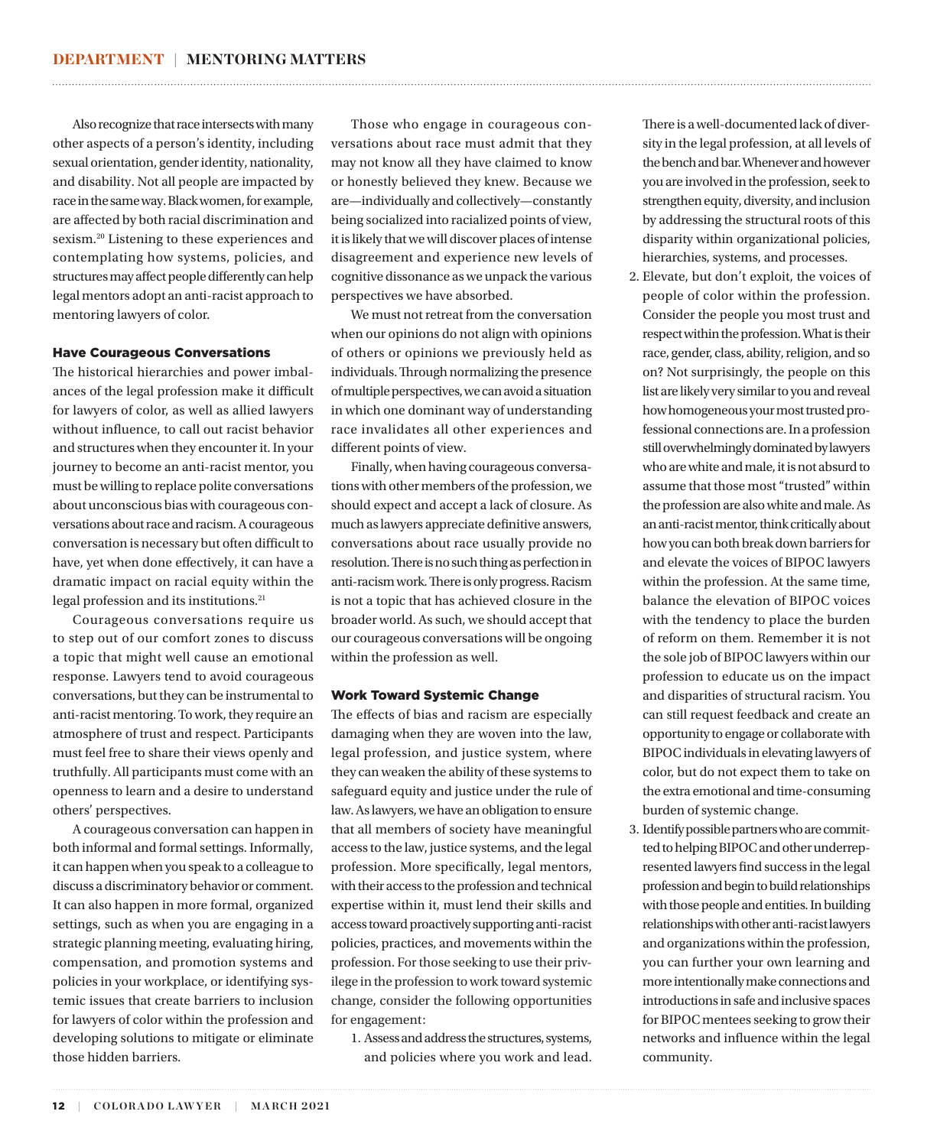Also recognize that race intersects with many other aspects of a person's identity, including sexual orientation, gender identity, nationality, and disability. Not all people are impacted by race in the same way. Black women, for example, are affected by both racial discrimination and sexism.20 Listening to these experiences and contemplating how systems, policies, and structures may affect people differently can help legal mentors adopt an anti-racist approach to mentoring lawyers of color.

## Have Courageous Conversations

The historical hierarchies and power imbalances of the legal profession make it difficult for lawyers of color, as well as allied lawyers without influence, to call out racist behavior and structures when they encounter it. In your journey to become an anti-racist mentor, you must be willing to replace polite conversations about unconscious bias with courageous conversations about race and racism. A courageous conversation is necessary but often difficult to have, yet when done effectively, it can have a dramatic impact on racial equity within the legal profession and its institutions.21

Courageous conversations require us to step out of our comfort zones to discuss a topic that might well cause an emotional response. Lawyers tend to avoid courageous conversations, but they can be instrumental to anti-racist mentoring. To work, they require an atmosphere of trust and respect. Participants must feel free to share their views openly and truthfully. All participants must come with an openness to learn and a desire to understand others' perspectives.

A courageous conversation can happen in both informal and formal settings. Informally, it can happen when you speak to a colleague to discuss a discriminatory behavior or comment. It can also happen in more formal, organized settings, such as when you are engaging in a strategic planning meeting, evaluating hiring, compensation, and promotion systems and policies in your workplace, or identifying systemic issues that create barriers to inclusion for lawyers of color within the profession and developing solutions to mitigate or eliminate those hidden barriers.

Those who engage in courageous conversations about race must admit that they may not know all they have claimed to know or honestly believed they knew. Because we are—individually and collectively—constantly being socialized into racialized points of view, it is likely that we will discover places of intense disagreement and experience new levels of cognitive dissonance as we unpack the various perspectives we have absorbed.

We must not retreat from the conversation when our opinions do not align with opinions of others or opinions we previously held as individuals. Through normalizing the presence of multiple perspectives, we can avoid a situation in which one dominant way of understanding race invalidates all other experiences and different points of view.

Finally, when having courageous conversations with other members of the profession, we should expect and accept a lack of closure. As much as lawyers appreciate definitive answers, conversations about race usually provide no resolution. There is no such thing as perfection in anti-racism work. There is only progress. Racism is not a topic that has achieved closure in the broader world. As such, we should accept that our courageous conversations will be ongoing within the profession as well.

### Work Toward Systemic Change

The effects of bias and racism are especially damaging when they are woven into the law, legal profession, and justice system, where they can weaken the ability of these systems to safeguard equity and justice under the rule of law. As lawyers, we have an obligation to ensure that all members of society have meaningful access to the law, justice systems, and the legal profession. More specifically, legal mentors, with their access to the profession and technical expertise within it, must lend their skills and access toward proactively supporting anti-racist policies, practices, and movements within the profession. For those seeking to use their privilege in the profession to work toward systemic change, consider the following opportunities for engagement:

1. Assess and address the structures, systems, and policies where you work and lead. There is a well-documented lack of diversity in the legal profession, at all levels of the bench and bar. Whenever and however you are involved in the profession, seek to strengthen equity, diversity, and inclusion by addressing the structural roots of this disparity within organizational policies, hierarchies, systems, and processes.

- 2. Elevate, but don't exploit, the voices of people of color within the profession. Consider the people you most trust and respect within the profession. What is their race, gender, class, ability, religion, and so on? Not surprisingly, the people on this list are likely very similar to you and reveal how homogeneous your most trusted professional connections are. In a profession still overwhelmingly dominated by lawyers who are white and male, it is not absurd to assume that those most "trusted" within the profession are also white and male. As an anti-racist mentor, think critically about how you can both break down barriers for and elevate the voices of BIPOC lawyers within the profession. At the same time, balance the elevation of BIPOC voices with the tendency to place the burden of reform on them. Remember it is not the sole job of BIPOC lawyers within our profession to educate us on the impact and disparities of structural racism. You can still request feedback and create an opportunity to engage or collaborate with BIPOC individuals in elevating lawyers of color, but do not expect them to take on the extra emotional and time-consuming burden of systemic change.
- 3. Identify possible partners who are committed to helping BIPOC and other underrepresented lawyers find success in the legal profession and begin to build relationships with those people and entities. In building relationships with other anti-racist lawyers and organizations within the profession, you can further your own learning and more intentionally make connections and introductions in safe and inclusive spaces for BIPOC mentees seeking to grow their networks and influence within the legal community.